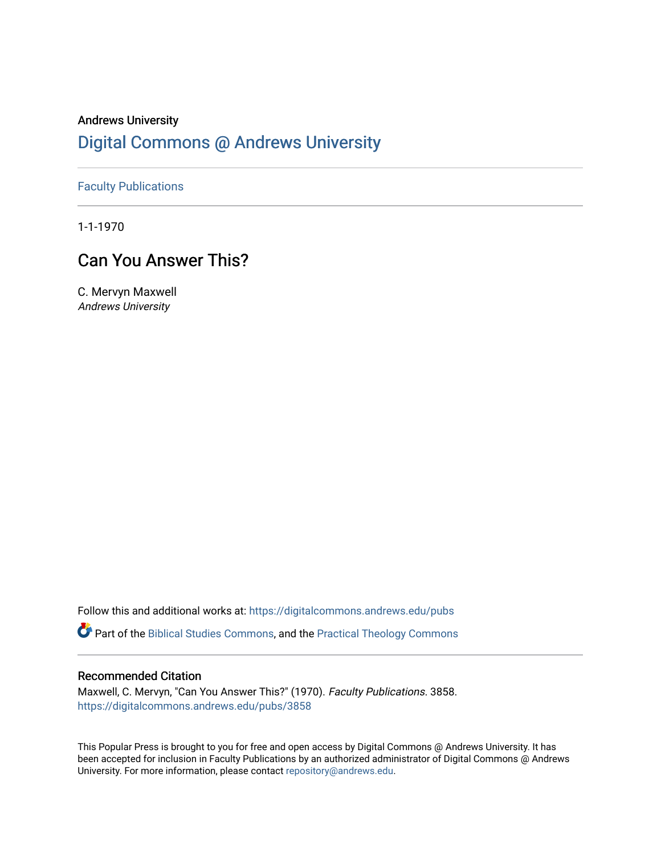## Andrews University [Digital Commons @ Andrews University](https://digitalcommons.andrews.edu/)

[Faculty Publications](https://digitalcommons.andrews.edu/pubs)

1-1-1970

# Can You Answer This?

C. Mervyn Maxwell Andrews University

Follow this and additional works at: [https://digitalcommons.andrews.edu/pubs](https://digitalcommons.andrews.edu/pubs?utm_source=digitalcommons.andrews.edu%2Fpubs%2F3858&utm_medium=PDF&utm_campaign=PDFCoverPages) 

Part of the [Biblical Studies Commons,](http://network.bepress.com/hgg/discipline/539?utm_source=digitalcommons.andrews.edu%2Fpubs%2F3858&utm_medium=PDF&utm_campaign=PDFCoverPages) and the [Practical Theology Commons](http://network.bepress.com/hgg/discipline/1186?utm_source=digitalcommons.andrews.edu%2Fpubs%2F3858&utm_medium=PDF&utm_campaign=PDFCoverPages) 

### Recommended Citation

Maxwell, C. Mervyn, "Can You Answer This?" (1970). Faculty Publications. 3858. [https://digitalcommons.andrews.edu/pubs/3858](https://digitalcommons.andrews.edu/pubs/3858?utm_source=digitalcommons.andrews.edu%2Fpubs%2F3858&utm_medium=PDF&utm_campaign=PDFCoverPages) 

This Popular Press is brought to you for free and open access by Digital Commons @ Andrews University. It has been accepted for inclusion in Faculty Publications by an authorized administrator of Digital Commons @ Andrews University. For more information, please contact [repository@andrews.edu](mailto:repository@andrews.edu).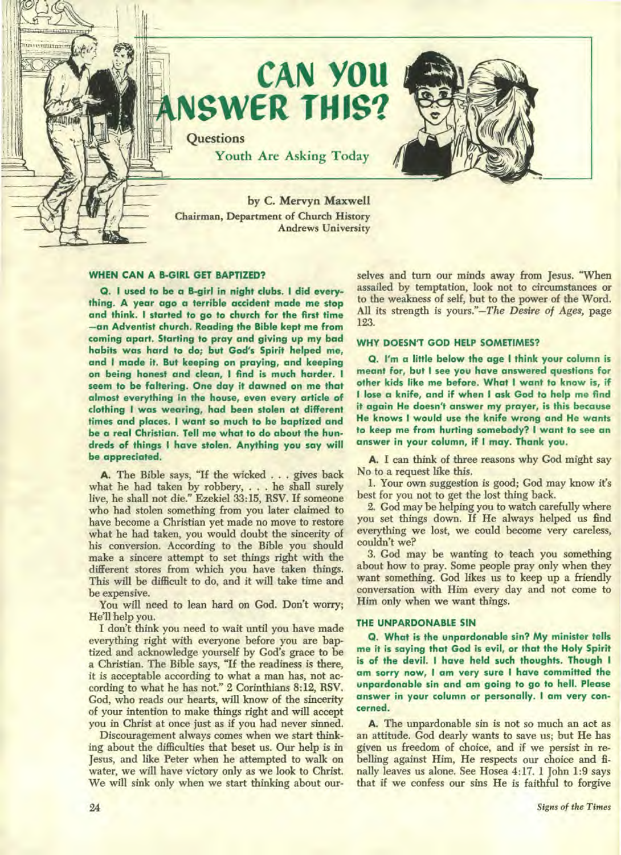

#### **WHEN CAN A B-GIRL GET BAPTIZED?**

**Q. I used to be a B-girl in night clubs. I did everything. A year ago a terrible accident made me stop and think. I started to go to church for the first time —an Adventist church. Reading the Bible kept me from coming apart. Starting to pray and giving up my bad habits was hard to do; but God's Spirit helped me, and I made it. But keeping on praying, and keeping on being honest and clean, I find is much harder. I seem to be faltering. One day it dawned on me that almost everything in the house, even every article of clothing I was wearing, had been stolen at different times and places. I want so much to be baptized and be a real Christian. Tell me what to do about the hundreds of things I have stolen. Anything you say will be appreciated.** 

**A.** The Bible says, "If the wicked . . . gives back what he had taken by robbery, . . . he shall surely live, he shall not die." Ezekiel 33:15, RSV. If someone who had stolen something from you later claimed to have become a Christian yet made no move to restore what he had taken, you would doubt the sincerity of his conversion. According to the Bible you should make a sincere attempt to set things right with the different stores from which you have taken things. This will be difficult to do, and it will take time and be expensive.

You will need to lean hard on God. Don't worry; He'll help you.

I don't think you need to wait until you have made everything right with everyone before you are baptized and acknowledge yourself by God's grace to be a Christian. The Bible says, "If the readiness is there, it is acceptable according to what a man has, not according to what he has not." 2 Corinthians 8:12, RSV. God, who reads our hearts, will know of the sincerity of your intention to make things right and will accept you in Christ at once just as if you had never sinned.

Discouragement always comes when we start thinking about the difficulties that beset us. Our help is in Jesus, and like Peter when he attempted to walk on water, we will have victory only as we look to Christ. We will sink only when we start thinking about ourselves and turn our minds away from Jesus. "When assailed by temptation, look not to circumstances or to the weakness of self, but to the power of the Word. All its strength is yours."—The *Desire of Ages,* page 123.

#### **WHY DOESN'T GOD HELP SOMETIMES?**

**Q. I'm a little below the age I think your column is meant for, but I** see **you have answered questions for other kids like me before. What I want to know is, if I lose a knife, and if when I ask God to help me find it again He doesn't answer my prayer, is this because He knows I would use the knife wrong and He wants to keep me from hurting somebody? I want to** see **an answer in your column, if I may. Thank you.** 

**A.** I can think of three reasons why God might say No to a request like this.

1. Your own suggestion is good; God may know it's best for you not to get the lost thing back.

2. God may be helping you to watch carefully where you set things down. If He always helped us find everything we lost, we could become very careless, couldn't we?

3. God may be wanting to teach you something about how to pray. Some people pray only when they want something. God likes us to keep up a friendly conversation with Him every day and not come to Him only when we want things.

#### **THE UNPARDONABLE SIN**

**Q. What is the unpardonable sin? My minister tells me it is saying that God is evil, or that the Holy Spirit is of the devil. I have held such thoughts. Though I am sorry now, I am very sure I have committed the unpardonable sin and am going to go to hell. Please answer in your column or personally. I am very concerned.** 

**A.** The unpardonable sin is not so much an act as an attitude. God dearly wants to save us; but He has given us freedom of choice, and if we persist in rebelling against Him, He respects our choice and finally leaves us alone. See Hosea 4:17. 1 John 1:9 says that if we confess our sins He is faithful to forgive